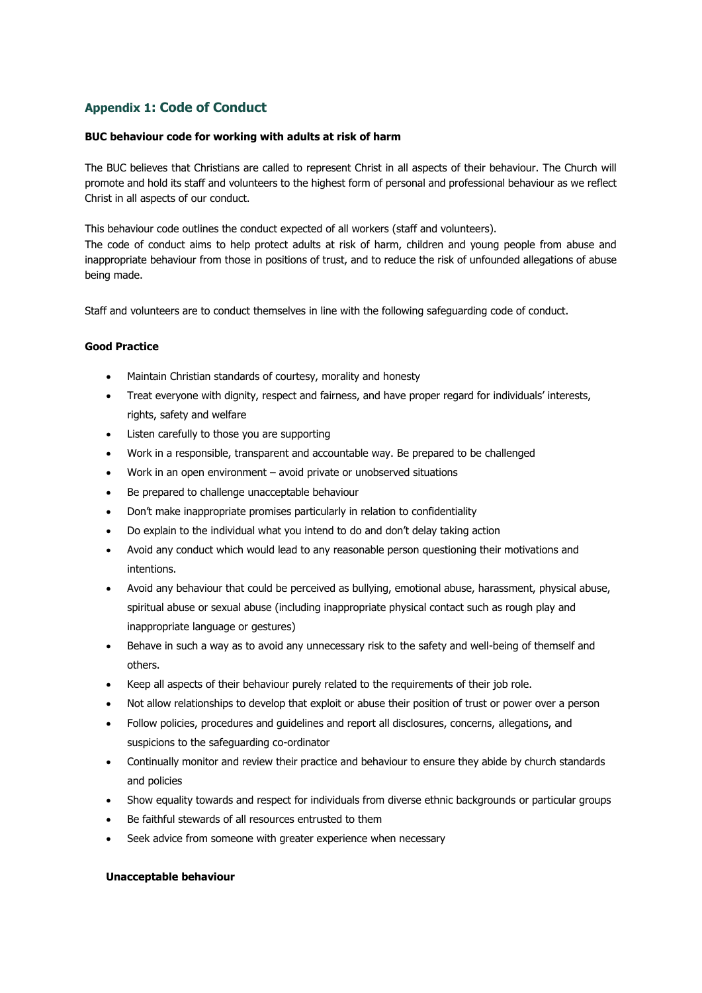# **Appendix 1: Code of Conduct**

### **BUC behaviour code for working with adults at risk of harm**

The BUC believes that Christians are called to represent Christ in all aspects of their behaviour. The Church will promote and hold its staff and volunteers to the highest form of personal and professional behaviour as we reflect Christ in all aspects of our conduct.

This behaviour code outlines the conduct expected of all workers (staff and volunteers). The code of conduct aims to help protect adults at risk of harm, children and young people from abuse and inappropriate behaviour from those in positions of trust, and to reduce the risk of unfounded allegations of abuse being made.

Staff and volunteers are to conduct themselves in line with the following safeguarding code of conduct.

#### **Good Practice**

- Maintain Christian standards of courtesy, morality and honesty
- Treat everyone with dignity, respect and fairness, and have proper regard for individuals' interests, rights, safety and welfare
- Listen carefully to those you are supporting
- Work in a responsible, transparent and accountable way. Be prepared to be challenged
- Work in an open environment avoid private or unobserved situations
- Be prepared to challenge unacceptable behaviour
- Don't make inappropriate promises particularly in relation to confidentiality
- Do explain to the individual what you intend to do and don't delay taking action
- Avoid any conduct which would lead to any reasonable person questioning their motivations and intentions.
- Avoid any behaviour that could be perceived as bullying, emotional abuse, harassment, physical abuse, spiritual abuse or sexual abuse (including inappropriate physical contact such as rough play and inappropriate language or gestures)
- Behave in such a way as to avoid any unnecessary risk to the safety and well-being of themself and others.
- Keep all aspects of their behaviour purely related to the requirements of their job role.
- Not allow relationships to develop that exploit or abuse their position of trust or power over a person
- Follow policies, procedures and guidelines and report all disclosures, concerns, allegations, and suspicions to the safeguarding co-ordinator
- Continually monitor and review their practice and behaviour to ensure they abide by church standards and policies
- Show equality towards and respect for individuals from diverse ethnic backgrounds or particular groups
- Be faithful stewards of all resources entrusted to them
- Seek advice from someone with greater experience when necessary

#### **Unacceptable behaviour**